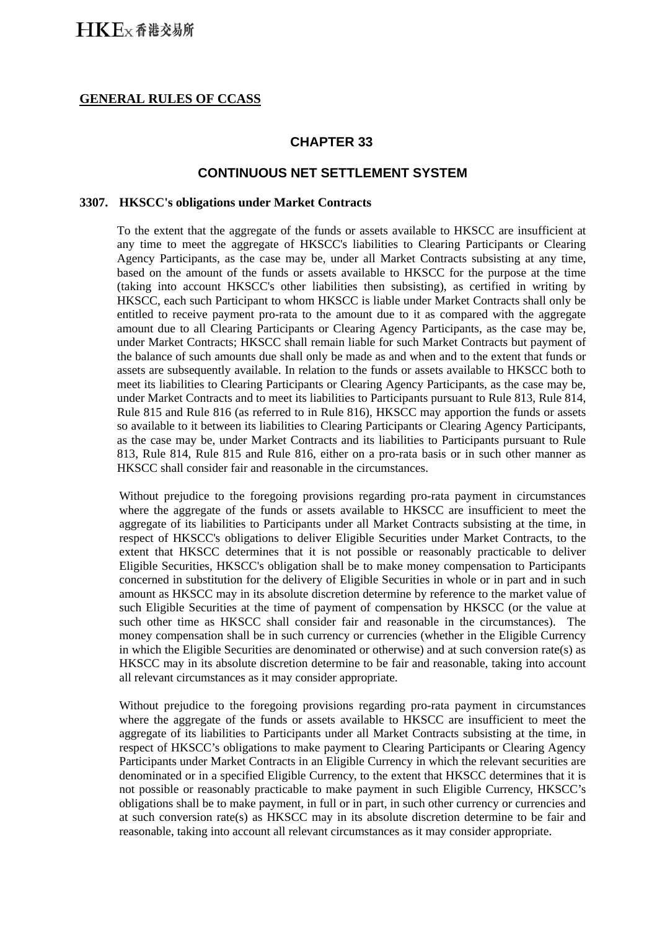### **GENERAL RULES OF CCASS**

## **CHAPTER 33**

### **CONTINUOUS NET SETTLEMENT SYSTEM**

#### **3307. HKSCC's obligations under Market Contracts**

To the extent that the aggregate of the funds or assets available to HKSCC are insufficient at any time to meet the aggregate of HKSCC's liabilities to Clearing Participants or Clearing Agency Participants, as the case may be, under all Market Contracts subsisting at any time, based on the amount of the funds or assets available to HKSCC for the purpose at the time (taking into account HKSCC's other liabilities then subsisting), as certified in writing by HKSCC, each such Participant to whom HKSCC is liable under Market Contracts shall only be entitled to receive payment pro-rata to the amount due to it as compared with the aggregate amount due to all Clearing Participants or Clearing Agency Participants, as the case may be, under Market Contracts; HKSCC shall remain liable for such Market Contracts but payment of the balance of such amounts due shall only be made as and when and to the extent that funds or assets are subsequently available. In relation to the funds or assets available to HKSCC both to meet its liabilities to Clearing Participants or Clearing Agency Participants, as the case may be, under Market Contracts and to meet its liabilities to Participants pursuant to Rule 813, Rule 814, Rule 815 and Rule 816 (as referred to in Rule 816), HKSCC may apportion the funds or assets so available to it between its liabilities to Clearing Participants or Clearing Agency Participants, as the case may be, under Market Contracts and its liabilities to Participants pursuant to Rule 813, Rule 814, Rule 815 and Rule 816, either on a pro-rata basis or in such other manner as HKSCC shall consider fair and reasonable in the circumstances.

Without prejudice to the foregoing provisions regarding pro-rata payment in circumstances where the aggregate of the funds or assets available to HKSCC are insufficient to meet the aggregate of its liabilities to Participants under all Market Contracts subsisting at the time, in respect of HKSCC's obligations to deliver Eligible Securities under Market Contracts, to the extent that HKSCC determines that it is not possible or reasonably practicable to deliver Eligible Securities, HKSCC's obligation shall be to make money compensation to Participants concerned in substitution for the delivery of Eligible Securities in whole or in part and in such amount as HKSCC may in its absolute discretion determine by reference to the market value of such Eligible Securities at the time of payment of compensation by HKSCC (or the value at such other time as HKSCC shall consider fair and reasonable in the circumstances). The money compensation shall be in such currency or currencies (whether in the Eligible Currency in which the Eligible Securities are denominated or otherwise) and at such conversion rate(s) as HKSCC may in its absolute discretion determine to be fair and reasonable, taking into account all relevant circumstances as it may consider appropriate.

Without prejudice to the foregoing provisions regarding pro-rata payment in circumstances where the aggregate of the funds or assets available to HKSCC are insufficient to meet the aggregate of its liabilities to Participants under all Market Contracts subsisting at the time, in respect of HKSCC's obligations to make payment to Clearing Participants or Clearing Agency Participants under Market Contracts in an Eligible Currency in which the relevant securities are denominated or in a specified Eligible Currency, to the extent that HKSCC determines that it is not possible or reasonably practicable to make payment in such Eligible Currency, HKSCC's obligations shall be to make payment, in full or in part, in such other currency or currencies and at such conversion rate(s) as HKSCC may in its absolute discretion determine to be fair and reasonable, taking into account all relevant circumstances as it may consider appropriate.